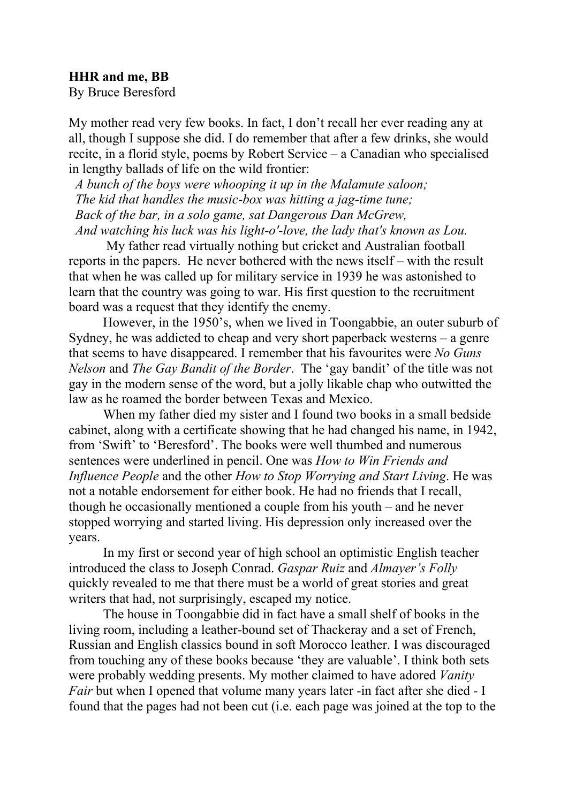## **HHR and me, BB**

By Bruce Beresford

My mother read very few books. In fact, I don't recall her ever reading any at all, though I suppose she did. I do remember that after a few drinks, she would recite, in a florid style, poems by Robert Service – a Canadian who specialised in lengthy ballads of life on the wild frontier:

 *A bunch of the boys were whooping it up in the Malamute saloon; The kid that handles the music-box was hitting a jag-time tune; Back of the bar, in a solo game, sat Dangerous Dan McGrew, And watching his luck was his light-o'-love, the lady that's known as Lou.*

My father read virtually nothing but cricket and Australian football reports in the papers. He never bothered with the news itself – with the result that when he was called up for military service in 1939 he was astonished to learn that the country was going to war. His first question to the recruitment board was a request that they identify the enemy.

However, in the 1950's, when we lived in Toongabbie, an outer suburb of Sydney, he was addicted to cheap and very short paperback westerns – a genre that seems to have disappeared. I remember that his favourites were *No Guns Nelson* and *The Gay Bandit of the Border*. The 'gay bandit' of the title was not gay in the modern sense of the word, but a jolly likable chap who outwitted the law as he roamed the border between Texas and Mexico.

When my father died my sister and I found two books in a small bedside cabinet, along with a certificate showing that he had changed his name, in 1942, from 'Swift' to 'Beresford'. The books were well thumbed and numerous sentences were underlined in pencil. One was *How to Win Friends and Influence People* and the other *How to Stop Worrying and Start Living*. He was not a notable endorsement for either book. He had no friends that I recall, though he occasionally mentioned a couple from his youth – and he never stopped worrying and started living. His depression only increased over the years.

In my first or second year of high school an optimistic English teacher introduced the class to Joseph Conrad. *Gaspar Ruiz* and *Almayer's Folly* quickly revealed to me that there must be a world of great stories and great writers that had, not surprisingly, escaped my notice.

The house in Toongabbie did in fact have a small shelf of books in the living room, including a leather-bound set of Thackeray and a set of French, Russian and English classics bound in soft Morocco leather. I was discouraged from touching any of these books because 'they are valuable'. I think both sets were probably wedding presents. My mother claimed to have adored *Vanity Fair* but when I opened that volume many years later -in fact after she died - I found that the pages had not been cut (i.e. each page was joined at the top to the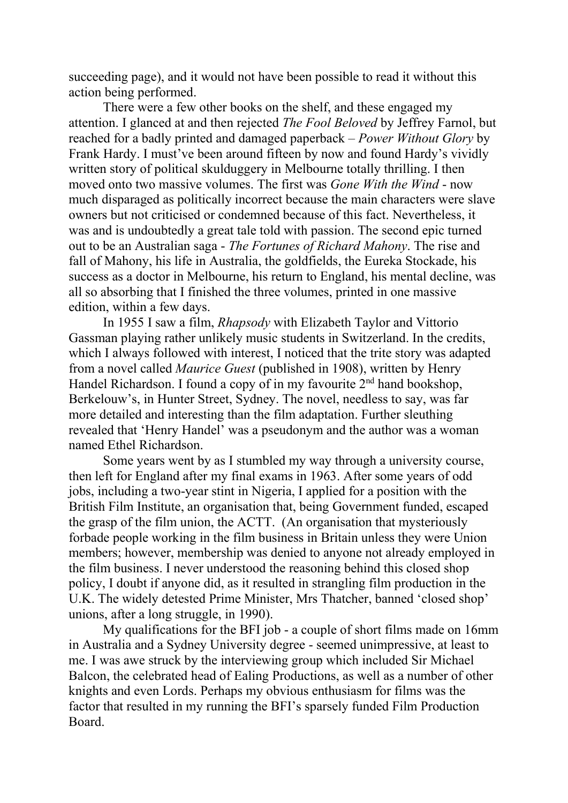succeeding page), and it would not have been possible to read it without this action being performed.

There were a few other books on the shelf, and these engaged my attention. I glanced at and then rejected *The Fool Beloved* by Jeffrey Farnol, but reached for a badly printed and damaged paperback – *Power Without Glory* by Frank Hardy. I must've been around fifteen by now and found Hardy's vividly written story of political skulduggery in Melbourne totally thrilling. I then moved onto two massive volumes. The first was *Gone With the Wind* - now much disparaged as politically incorrect because the main characters were slave owners but not criticised or condemned because of this fact. Nevertheless, it was and is undoubtedly a great tale told with passion. The second epic turned out to be an Australian saga - *The Fortunes of Richard Mahony*. The rise and fall of Mahony, his life in Australia, the goldfields, the Eureka Stockade, his success as a doctor in Melbourne, his return to England, his mental decline, was all so absorbing that I finished the three volumes, printed in one massive edition, within a few days.

In 1955 I saw a film, *Rhapsody* with Elizabeth Taylor and Vittorio Gassman playing rather unlikely music students in Switzerland. In the credits, which I always followed with interest, I noticed that the trite story was adapted from a novel called *Maurice Guest* (published in 1908), written by Henry Handel Richardson. I found a copy of in my favourite 2<sup>nd</sup> hand bookshop, Berkelouw's, in Hunter Street, Sydney. The novel, needless to say, was far more detailed and interesting than the film adaptation. Further sleuthing revealed that 'Henry Handel' was a pseudonym and the author was a woman named Ethel Richardson.

Some years went by as I stumbled my way through a university course, then left for England after my final exams in 1963. After some years of odd jobs, including a two-year stint in Nigeria, I applied for a position with the British Film Institute, an organisation that, being Government funded, escaped the grasp of the film union, the ACTT. (An organisation that mysteriously forbade people working in the film business in Britain unless they were Union members; however, membership was denied to anyone not already employed in the film business. I never understood the reasoning behind this closed shop policy, I doubt if anyone did, as it resulted in strangling film production in the U.K. The widely detested Prime Minister, Mrs Thatcher, banned 'closed shop' unions, after a long struggle, in 1990).

My qualifications for the BFI job - a couple of short films made on 16mm in Australia and a Sydney University degree - seemed unimpressive, at least to me. I was awe struck by the interviewing group which included Sir Michael Balcon, the celebrated head of Ealing Productions, as well as a number of other knights and even Lords. Perhaps my obvious enthusiasm for films was the factor that resulted in my running the BFI's sparsely funded Film Production Board.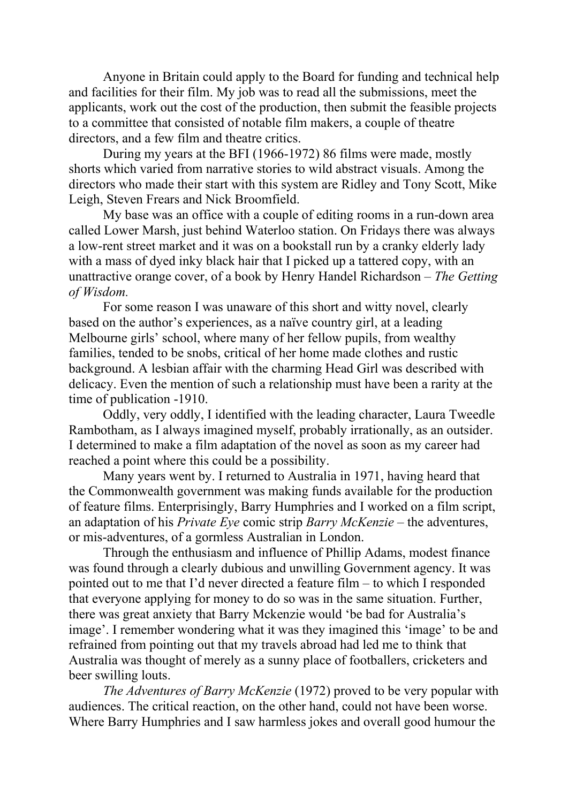Anyone in Britain could apply to the Board for funding and technical help and facilities for their film. My job was to read all the submissions, meet the applicants, work out the cost of the production, then submit the feasible projects to a committee that consisted of notable film makers, a couple of theatre directors, and a few film and theatre critics.

During my years at the BFI (1966-1972) 86 films were made, mostly shorts which varied from narrative stories to wild abstract visuals. Among the directors who made their start with this system are Ridley and Tony Scott, Mike Leigh, Steven Frears and Nick Broomfield.

My base was an office with a couple of editing rooms in a run-down area called Lower Marsh, just behind Waterloo station. On Fridays there was always a low-rent street market and it was on a bookstall run by a cranky elderly lady with a mass of dyed inky black hair that I picked up a tattered copy, with an unattractive orange cover, of a book by Henry Handel Richardson – *The Getting of Wisdom.*

For some reason I was unaware of this short and witty novel, clearly based on the author's experiences, as a naïve country girl, at a leading Melbourne girls' school, where many of her fellow pupils, from wealthy families, tended to be snobs, critical of her home made clothes and rustic background. A lesbian affair with the charming Head Girl was described with delicacy. Even the mention of such a relationship must have been a rarity at the time of publication -1910.

Oddly, very oddly, I identified with the leading character, Laura Tweedle Rambotham, as I always imagined myself, probably irrationally, as an outsider. I determined to make a film adaptation of the novel as soon as my career had reached a point where this could be a possibility.

Many years went by. I returned to Australia in 1971, having heard that the Commonwealth government was making funds available for the production of feature films. Enterprisingly, Barry Humphries and I worked on a film script, an adaptation of his *Private Eye* comic strip *Barry McKenzie* – the adventures, or mis-adventures, of a gormless Australian in London.

Through the enthusiasm and influence of Phillip Adams, modest finance was found through a clearly dubious and unwilling Government agency. It was pointed out to me that I'd never directed a feature film – to which I responded that everyone applying for money to do so was in the same situation. Further, there was great anxiety that Barry Mckenzie would 'be bad for Australia's image'. I remember wondering what it was they imagined this 'image' to be and refrained from pointing out that my travels abroad had led me to think that Australia was thought of merely as a sunny place of footballers, cricketers and beer swilling louts.

*The Adventures of Barry McKenzie* (1972) proved to be very popular with audiences. The critical reaction, on the other hand, could not have been worse. Where Barry Humphries and I saw harmless jokes and overall good humour the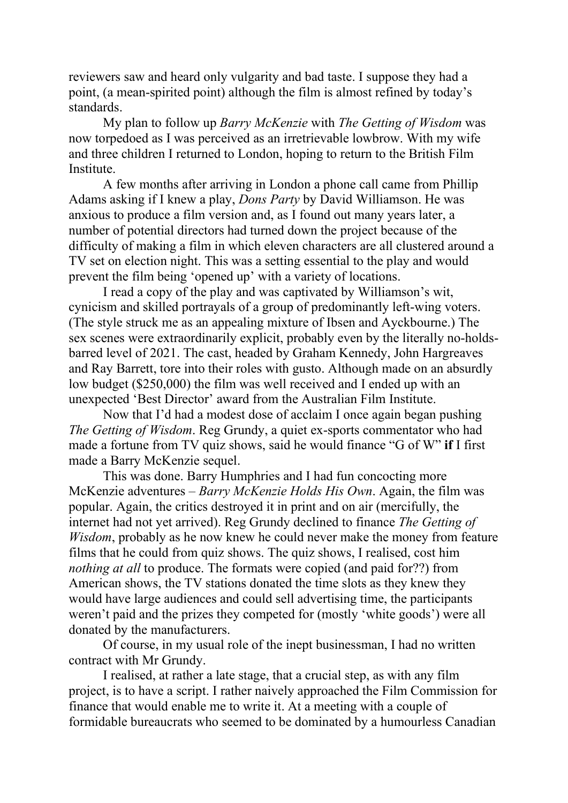reviewers saw and heard only vulgarity and bad taste. I suppose they had a point, (a mean-spirited point) although the film is almost refined by today's standards.

My plan to follow up *Barry McKenzie* with *The Getting of Wisdom* was now torpedoed as I was perceived as an irretrievable lowbrow. With my wife and three children I returned to London, hoping to return to the British Film **Institute** 

A few months after arriving in London a phone call came from Phillip Adams asking if I knew a play, *Dons Party* by David Williamson. He was anxious to produce a film version and, as I found out many years later, a number of potential directors had turned down the project because of the difficulty of making a film in which eleven characters are all clustered around a TV set on election night. This was a setting essential to the play and would prevent the film being 'opened up' with a variety of locations.

I read a copy of the play and was captivated by Williamson's wit, cynicism and skilled portrayals of a group of predominantly left-wing voters. (The style struck me as an appealing mixture of Ibsen and Ayckbourne.) The sex scenes were extraordinarily explicit, probably even by the literally no-holdsbarred level of 2021. The cast, headed by Graham Kennedy, John Hargreaves and Ray Barrett, tore into their roles with gusto. Although made on an absurdly low budget (\$250,000) the film was well received and I ended up with an unexpected 'Best Director' award from the Australian Film Institute.

Now that I'd had a modest dose of acclaim I once again began pushing *The Getting of Wisdom*. Reg Grundy, a quiet ex-sports commentator who had made a fortune from TV quiz shows, said he would finance "G of W" **if** I first made a Barry McKenzie sequel.

This was done. Barry Humphries and I had fun concocting more McKenzie adventures – *Barry McKenzie Holds His Own*. Again, the film was popular. Again, the critics destroyed it in print and on air (mercifully, the internet had not yet arrived). Reg Grundy declined to finance *The Getting of Wisdom*, probably as he now knew he could never make the money from feature films that he could from quiz shows. The quiz shows, I realised, cost him *nothing at all* to produce. The formats were copied (and paid for??) from American shows, the TV stations donated the time slots as they knew they would have large audiences and could sell advertising time, the participants weren't paid and the prizes they competed for (mostly 'white goods') were all donated by the manufacturers.

Of course, in my usual role of the inept businessman, I had no written contract with Mr Grundy.

I realised, at rather a late stage, that a crucial step, as with any film project, is to have a script. I rather naively approached the Film Commission for finance that would enable me to write it. At a meeting with a couple of formidable bureaucrats who seemed to be dominated by a humourless Canadian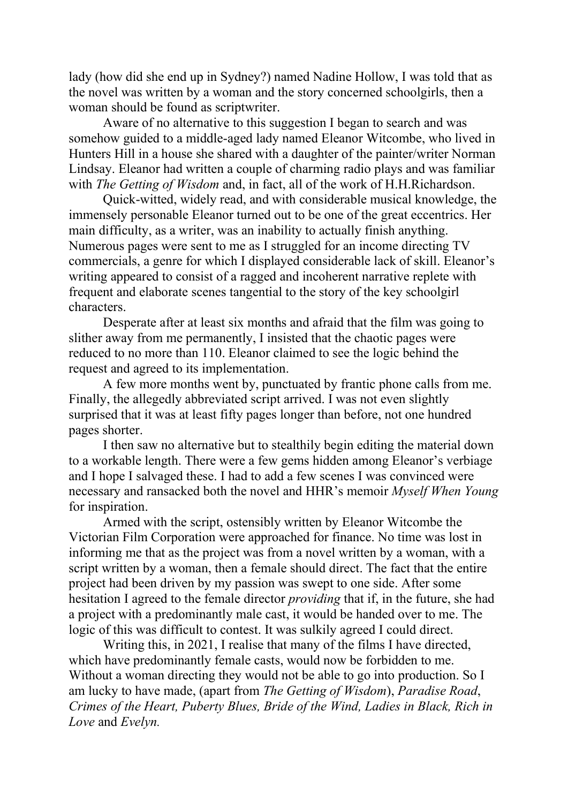lady (how did she end up in Sydney?) named Nadine Hollow, I was told that as the novel was written by a woman and the story concerned schoolgirls, then a woman should be found as scriptwriter.

Aware of no alternative to this suggestion I began to search and was somehow guided to a middle-aged lady named Eleanor Witcombe, who lived in Hunters Hill in a house she shared with a daughter of the painter/writer Norman Lindsay. Eleanor had written a couple of charming radio plays and was familiar with *The Getting of Wisdom* and, in fact, all of the work of H.H.Richardson.

Quick-witted, widely read, and with considerable musical knowledge, the immensely personable Eleanor turned out to be one of the great eccentrics. Her main difficulty, as a writer, was an inability to actually finish anything. Numerous pages were sent to me as I struggled for an income directing TV commercials, a genre for which I displayed considerable lack of skill. Eleanor's writing appeared to consist of a ragged and incoherent narrative replete with frequent and elaborate scenes tangential to the story of the key schoolgirl characters.

Desperate after at least six months and afraid that the film was going to slither away from me permanently, I insisted that the chaotic pages were reduced to no more than 110. Eleanor claimed to see the logic behind the request and agreed to its implementation.

A few more months went by, punctuated by frantic phone calls from me. Finally, the allegedly abbreviated script arrived. I was not even slightly surprised that it was at least fifty pages longer than before, not one hundred pages shorter.

I then saw no alternative but to stealthily begin editing the material down to a workable length. There were a few gems hidden among Eleanor's verbiage and I hope I salvaged these. I had to add a few scenes I was convinced were necessary and ransacked both the novel and HHR's memoir *Myself When Young* for inspiration.

Armed with the script, ostensibly written by Eleanor Witcombe the Victorian Film Corporation were approached for finance. No time was lost in informing me that as the project was from a novel written by a woman, with a script written by a woman, then a female should direct. The fact that the entire project had been driven by my passion was swept to one side. After some hesitation I agreed to the female director *providing* that if, in the future, she had a project with a predominantly male cast, it would be handed over to me. The logic of this was difficult to contest. It was sulkily agreed I could direct.

Writing this, in 2021, I realise that many of the films I have directed, which have predominantly female casts, would now be forbidden to me. Without a woman directing they would not be able to go into production. So I am lucky to have made, (apart from *The Getting of Wisdom*), *Paradise Road*, *Crimes of the Heart, Puberty Blues, Bride of the Wind, Ladies in Black, Rich in Love* and *Evelyn.*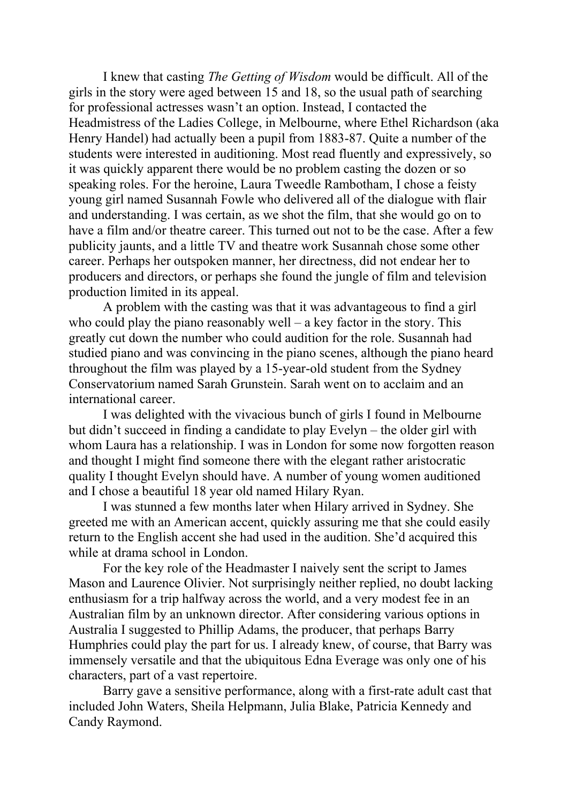I knew that casting *The Getting of Wisdom* would be difficult. All of the girls in the story were aged between 15 and 18, so the usual path of searching for professional actresses wasn't an option. Instead, I contacted the Headmistress of the Ladies College, in Melbourne, where Ethel Richardson (aka Henry Handel) had actually been a pupil from 1883-87. Quite a number of the students were interested in auditioning. Most read fluently and expressively, so it was quickly apparent there would be no problem casting the dozen or so speaking roles. For the heroine, Laura Tweedle Rambotham, I chose a feisty young girl named Susannah Fowle who delivered all of the dialogue with flair and understanding. I was certain, as we shot the film, that she would go on to have a film and/or theatre career. This turned out not to be the case. After a few publicity jaunts, and a little TV and theatre work Susannah chose some other career. Perhaps her outspoken manner, her directness, did not endear her to producers and directors, or perhaps she found the jungle of film and television production limited in its appeal.

A problem with the casting was that it was advantageous to find a girl who could play the piano reasonably well – a key factor in the story. This greatly cut down the number who could audition for the role. Susannah had studied piano and was convincing in the piano scenes, although the piano heard throughout the film was played by a 15-year-old student from the Sydney Conservatorium named Sarah Grunstein. Sarah went on to acclaim and an international career.

I was delighted with the vivacious bunch of girls I found in Melbourne but didn't succeed in finding a candidate to play Evelyn – the older girl with whom Laura has a relationship. I was in London for some now forgotten reason and thought I might find someone there with the elegant rather aristocratic quality I thought Evelyn should have. A number of young women auditioned and I chose a beautiful 18 year old named Hilary Ryan.

I was stunned a few months later when Hilary arrived in Sydney. She greeted me with an American accent, quickly assuring me that she could easily return to the English accent she had used in the audition. She'd acquired this while at drama school in London.

For the key role of the Headmaster I naively sent the script to James Mason and Laurence Olivier. Not surprisingly neither replied, no doubt lacking enthusiasm for a trip halfway across the world, and a very modest fee in an Australian film by an unknown director. After considering various options in Australia I suggested to Phillip Adams, the producer, that perhaps Barry Humphries could play the part for us. I already knew, of course, that Barry was immensely versatile and that the ubiquitous Edna Everage was only one of his characters, part of a vast repertoire.

Barry gave a sensitive performance, along with a first-rate adult cast that included John Waters, Sheila Helpmann, Julia Blake, Patricia Kennedy and Candy Raymond.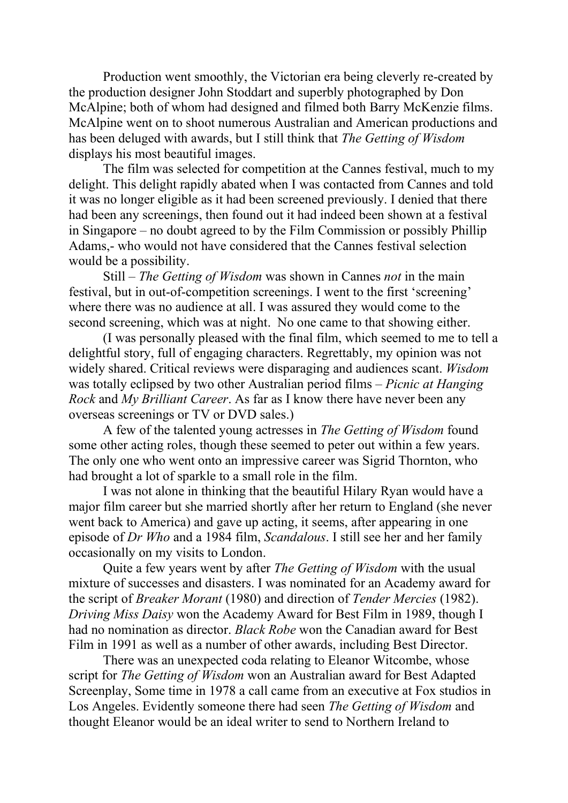Production went smoothly, the Victorian era being cleverly re-created by the production designer John Stoddart and superbly photographed by Don McAlpine; both of whom had designed and filmed both Barry McKenzie films. McAlpine went on to shoot numerous Australian and American productions and has been deluged with awards, but I still think that *The Getting of Wisdom* displays his most beautiful images.

The film was selected for competition at the Cannes festival, much to my delight. This delight rapidly abated when I was contacted from Cannes and told it was no longer eligible as it had been screened previously. I denied that there had been any screenings, then found out it had indeed been shown at a festival in Singapore – no doubt agreed to by the Film Commission or possibly Phillip Adams,- who would not have considered that the Cannes festival selection would be a possibility.

Still – *The Getting of Wisdom* was shown in Cannes *not* in the main festival, but in out-of-competition screenings. I went to the first 'screening' where there was no audience at all. I was assured they would come to the second screening, which was at night. No one came to that showing either.

(I was personally pleased with the final film, which seemed to me to tell a delightful story, full of engaging characters. Regrettably, my opinion was not widely shared. Critical reviews were disparaging and audiences scant. *Wisdom* was totally eclipsed by two other Australian period films *– Picnic at Hanging Rock* and *My Brilliant Career*. As far as I know there have never been any overseas screenings or TV or DVD sales.)

A few of the talented young actresses in *The Getting of Wisdom* found some other acting roles, though these seemed to peter out within a few years. The only one who went onto an impressive career was Sigrid Thornton, who had brought a lot of sparkle to a small role in the film.

I was not alone in thinking that the beautiful Hilary Ryan would have a major film career but she married shortly after her return to England (she never went back to America) and gave up acting, it seems, after appearing in one episode of *Dr Who* and a 1984 film, *Scandalous*. I still see her and her family occasionally on my visits to London.

Quite a few years went by after *The Getting of Wisdom* with the usual mixture of successes and disasters. I was nominated for an Academy award for the script of *Breaker Morant* (1980) and direction of *Tender Mercies* (1982). *Driving Miss Daisy* won the Academy Award for Best Film in 1989, though I had no nomination as director. *Black Robe* won the Canadian award for Best Film in 1991 as well as a number of other awards, including Best Director.

There was an unexpected coda relating to Eleanor Witcombe, whose script for *The Getting of Wisdom* won an Australian award for Best Adapted Screenplay, Some time in 1978 a call came from an executive at Fox studios in Los Angeles. Evidently someone there had seen *The Getting of Wisdom* and thought Eleanor would be an ideal writer to send to Northern Ireland to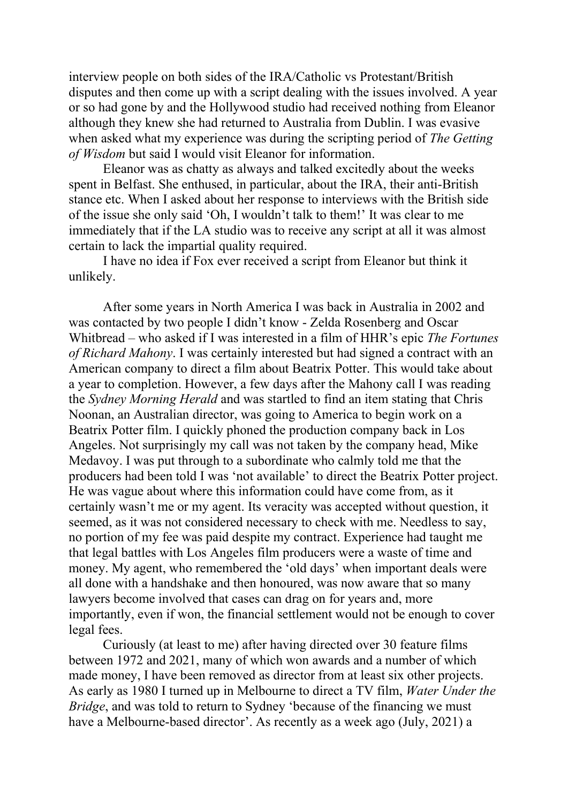interview people on both sides of the IRA/Catholic vs Protestant/British disputes and then come up with a script dealing with the issues involved. A year or so had gone by and the Hollywood studio had received nothing from Eleanor although they knew she had returned to Australia from Dublin. I was evasive when asked what my experience was during the scripting period of *The Getting of Wisdom* but said I would visit Eleanor for information.

Eleanor was as chatty as always and talked excitedly about the weeks spent in Belfast. She enthused, in particular, about the IRA, their anti-British stance etc. When I asked about her response to interviews with the British side of the issue she only said 'Oh, I wouldn't talk to them!' It was clear to me immediately that if the LA studio was to receive any script at all it was almost certain to lack the impartial quality required.

I have no idea if Fox ever received a script from Eleanor but think it unlikely.

After some years in North America I was back in Australia in 2002 and was contacted by two people I didn't know - Zelda Rosenberg and Oscar Whitbread – who asked if I was interested in a film of HHR's epic *The Fortunes of Richard Mahony*. I was certainly interested but had signed a contract with an American company to direct a film about Beatrix Potter. This would take about a year to completion. However, a few days after the Mahony call I was reading the *Sydney Morning Herald* and was startled to find an item stating that Chris Noonan, an Australian director, was going to America to begin work on a Beatrix Potter film. I quickly phoned the production company back in Los Angeles. Not surprisingly my call was not taken by the company head, Mike Medavoy. I was put through to a subordinate who calmly told me that the producers had been told I was 'not available' to direct the Beatrix Potter project. He was vague about where this information could have come from, as it certainly wasn't me or my agent. Its veracity was accepted without question, it seemed, as it was not considered necessary to check with me. Needless to say, no portion of my fee was paid despite my contract. Experience had taught me that legal battles with Los Angeles film producers were a waste of time and money. My agent, who remembered the 'old days' when important deals were all done with a handshake and then honoured, was now aware that so many lawyers become involved that cases can drag on for years and, more importantly, even if won, the financial settlement would not be enough to cover legal fees.

Curiously (at least to me) after having directed over 30 feature films between 1972 and 2021, many of which won awards and a number of which made money, I have been removed as director from at least six other projects. As early as 1980 I turned up in Melbourne to direct a TV film, *Water Under the Bridge*, and was told to return to Sydney 'because of the financing we must have a Melbourne-based director'. As recently as a week ago (July, 2021) a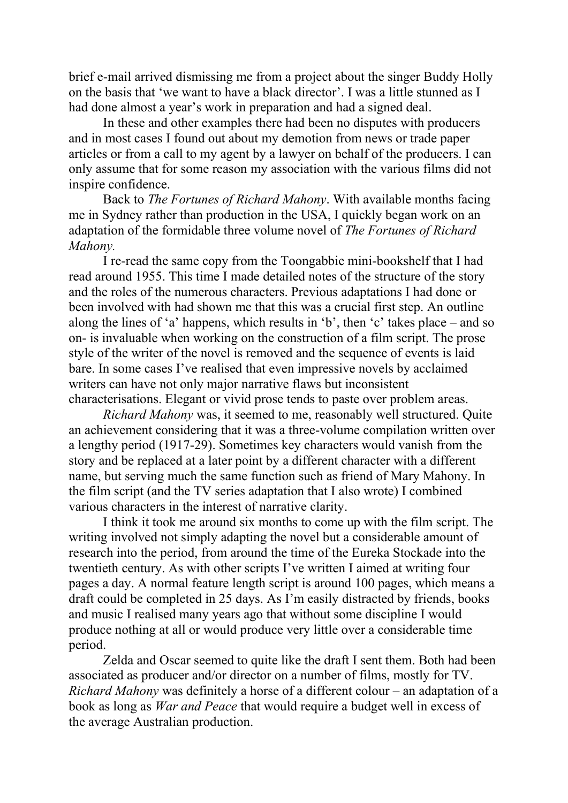brief e-mail arrived dismissing me from a project about the singer Buddy Holly on the basis that 'we want to have a black director'. I was a little stunned as I had done almost a year's work in preparation and had a signed deal.

In these and other examples there had been no disputes with producers and in most cases I found out about my demotion from news or trade paper articles or from a call to my agent by a lawyer on behalf of the producers. I can only assume that for some reason my association with the various films did not inspire confidence.

Back to *The Fortunes of Richard Mahony*. With available months facing me in Sydney rather than production in the USA, I quickly began work on an adaptation of the formidable three volume novel of *The Fortunes of Richard Mahony.*

I re-read the same copy from the Toongabbie mini-bookshelf that I had read around 1955. This time I made detailed notes of the structure of the story and the roles of the numerous characters. Previous adaptations I had done or been involved with had shown me that this was a crucial first step. An outline along the lines of 'a' happens, which results in 'b', then 'c' takes place – and so on- is invaluable when working on the construction of a film script. The prose style of the writer of the novel is removed and the sequence of events is laid bare. In some cases I've realised that even impressive novels by acclaimed writers can have not only major narrative flaws but inconsistent characterisations. Elegant or vivid prose tends to paste over problem areas.

*Richard Mahony* was, it seemed to me, reasonably well structured. Quite an achievement considering that it was a three-volume compilation written over a lengthy period (1917-29). Sometimes key characters would vanish from the story and be replaced at a later point by a different character with a different name, but serving much the same function such as friend of Mary Mahony. In the film script (and the TV series adaptation that I also wrote) I combined various characters in the interest of narrative clarity.

I think it took me around six months to come up with the film script. The writing involved not simply adapting the novel but a considerable amount of research into the period, from around the time of the Eureka Stockade into the twentieth century. As with other scripts I've written I aimed at writing four pages a day. A normal feature length script is around 100 pages, which means a draft could be completed in 25 days. As I'm easily distracted by friends, books and music I realised many years ago that without some discipline I would produce nothing at all or would produce very little over a considerable time period.

Zelda and Oscar seemed to quite like the draft I sent them. Both had been associated as producer and/or director on a number of films, mostly for TV. *Richard Mahony* was definitely a horse of a different colour – an adaptation of a book as long as *War and Peace* that would require a budget well in excess of the average Australian production.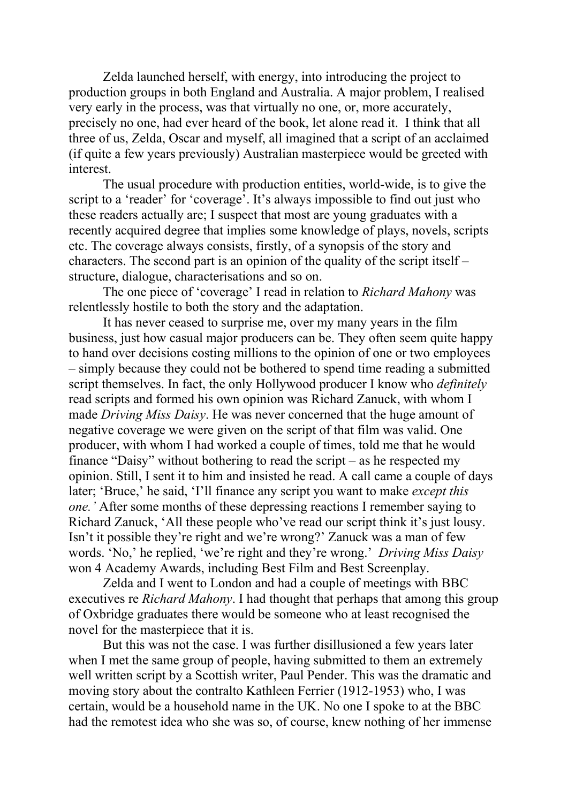Zelda launched herself, with energy, into introducing the project to production groups in both England and Australia. A major problem, I realised very early in the process, was that virtually no one, or, more accurately, precisely no one, had ever heard of the book, let alone read it. I think that all three of us, Zelda, Oscar and myself, all imagined that a script of an acclaimed (if quite a few years previously) Australian masterpiece would be greeted with interest.

The usual procedure with production entities, world-wide, is to give the script to a 'reader' for 'coverage'. It's always impossible to find out just who these readers actually are; I suspect that most are young graduates with a recently acquired degree that implies some knowledge of plays, novels, scripts etc. The coverage always consists, firstly, of a synopsis of the story and characters. The second part is an opinion of the quality of the script itself – structure, dialogue, characterisations and so on.

The one piece of 'coverage' I read in relation to *Richard Mahony* was relentlessly hostile to both the story and the adaptation.

It has never ceased to surprise me, over my many years in the film business, just how casual major producers can be. They often seem quite happy to hand over decisions costing millions to the opinion of one or two employees – simply because they could not be bothered to spend time reading a submitted script themselves. In fact, the only Hollywood producer I know who *definitely* read scripts and formed his own opinion was Richard Zanuck, with whom I made *Driving Miss Daisy*. He was never concerned that the huge amount of negative coverage we were given on the script of that film was valid. One producer, with whom I had worked a couple of times, told me that he would finance "Daisy" without bothering to read the script – as he respected my opinion. Still, I sent it to him and insisted he read. A call came a couple of days later; 'Bruce,' he said, 'I'll finance any script you want to make *except this one.'* After some months of these depressing reactions I remember saying to Richard Zanuck, 'All these people who've read our script think it's just lousy. Isn't it possible they're right and we're wrong?' Zanuck was a man of few words. 'No,' he replied, 'we're right and they're wrong.' *Driving Miss Daisy* won 4 Academy Awards, including Best Film and Best Screenplay.

Zelda and I went to London and had a couple of meetings with BBC executives re *Richard Mahony*. I had thought that perhaps that among this group of Oxbridge graduates there would be someone who at least recognised the novel for the masterpiece that it is.

But this was not the case. I was further disillusioned a few years later when I met the same group of people, having submitted to them an extremely well written script by a Scottish writer, Paul Pender. This was the dramatic and moving story about the contralto Kathleen Ferrier (1912-1953) who, I was certain, would be a household name in the UK. No one I spoke to at the BBC had the remotest idea who she was so, of course, knew nothing of her immense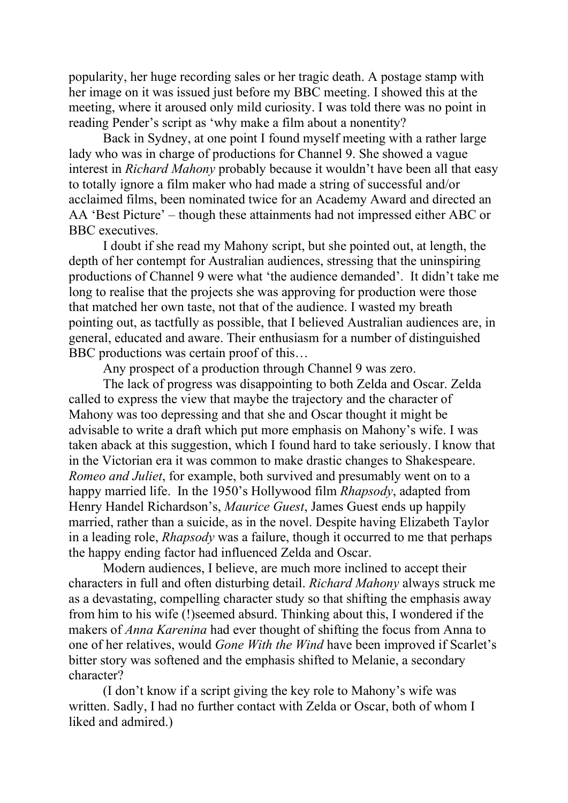popularity, her huge recording sales or her tragic death. A postage stamp with her image on it was issued just before my BBC meeting. I showed this at the meeting, where it aroused only mild curiosity. I was told there was no point in reading Pender's script as 'why make a film about a nonentity?

Back in Sydney, at one point I found myself meeting with a rather large lady who was in charge of productions for Channel 9. She showed a vague interest in *Richard Mahony* probably because it wouldn't have been all that easy to totally ignore a film maker who had made a string of successful and/or acclaimed films, been nominated twice for an Academy Award and directed an AA 'Best Picture' – though these attainments had not impressed either ABC or BBC executives.

I doubt if she read my Mahony script, but she pointed out, at length, the depth of her contempt for Australian audiences, stressing that the uninspiring productions of Channel 9 were what 'the audience demanded'. It didn't take me long to realise that the projects she was approving for production were those that matched her own taste, not that of the audience. I wasted my breath pointing out, as tactfully as possible, that I believed Australian audiences are, in general, educated and aware. Their enthusiasm for a number of distinguished BBC productions was certain proof of this…

Any prospect of a production through Channel 9 was zero.

The lack of progress was disappointing to both Zelda and Oscar. Zelda called to express the view that maybe the trajectory and the character of Mahony was too depressing and that she and Oscar thought it might be advisable to write a draft which put more emphasis on Mahony's wife. I was taken aback at this suggestion, which I found hard to take seriously. I know that in the Victorian era it was common to make drastic changes to Shakespeare. *Romeo and Juliet*, for example, both survived and presumably went on to a happy married life. In the 1950's Hollywood film *Rhapsody*, adapted from Henry Handel Richardson's, *Maurice Guest*, James Guest ends up happily married, rather than a suicide, as in the novel. Despite having Elizabeth Taylor in a leading role, *Rhapsody* was a failure, though it occurred to me that perhaps the happy ending factor had influenced Zelda and Oscar.

Modern audiences, I believe, are much more inclined to accept their characters in full and often disturbing detail. *Richard Mahony* always struck me as a devastating, compelling character study so that shifting the emphasis away from him to his wife (!)seemed absurd. Thinking about this, I wondered if the makers of *Anna Karenina* had ever thought of shifting the focus from Anna to one of her relatives, would *Gone With the Wind* have been improved if Scarlet's bitter story was softened and the emphasis shifted to Melanie, a secondary character?

(I don't know if a script giving the key role to Mahony's wife was written. Sadly, I had no further contact with Zelda or Oscar, both of whom I liked and admired.)